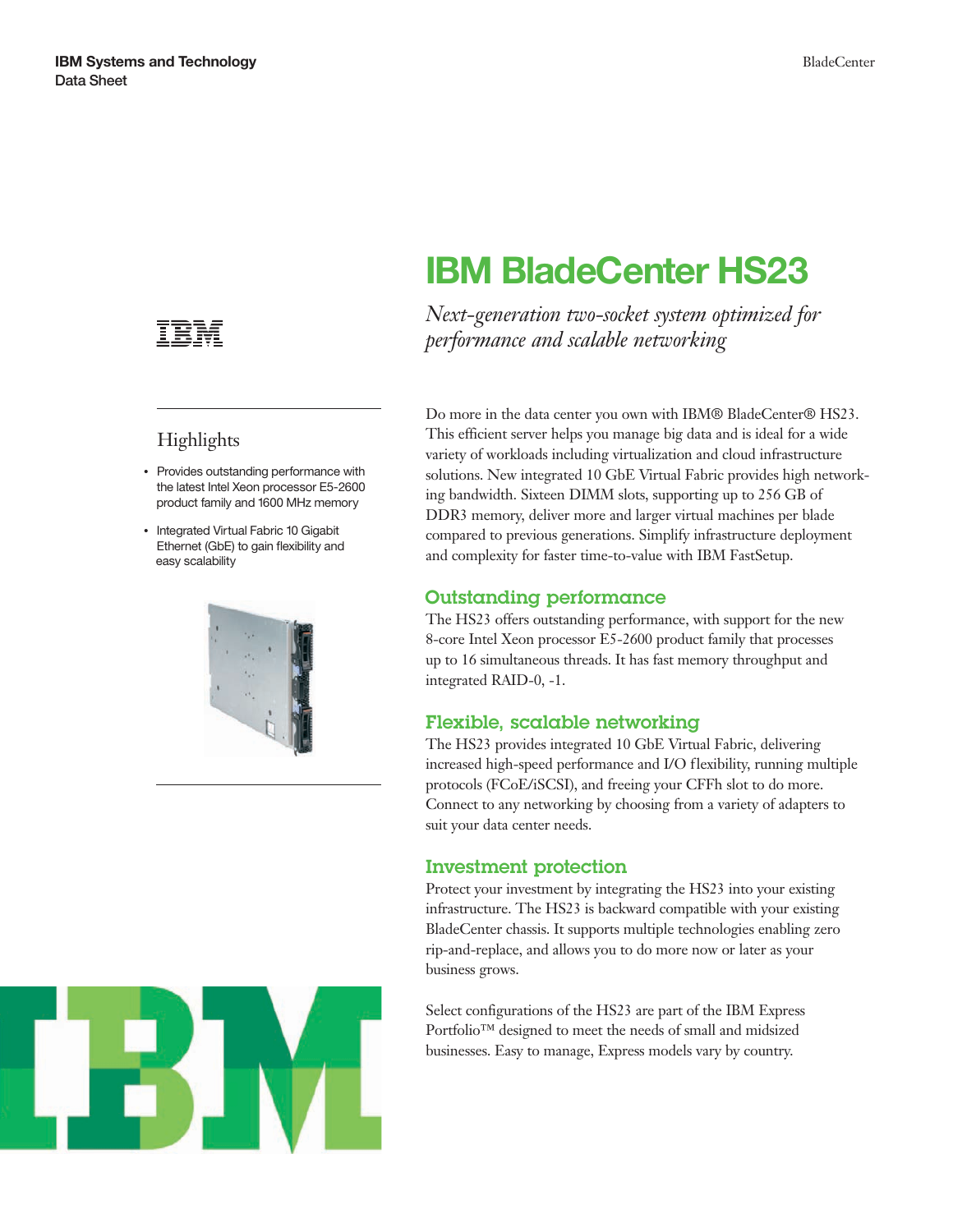

## **Highlights**

- Provides outstanding performance with the latest Intel Xeon processor E5-2600 product family and 1600 MHz memory
- Integrated Virtual Fabric 10 Gigabit Ethernet (GbE) to gain flexibility and easy scalability





# **IBM BladeCenter HS23**

*Next-generation two-socket system optimized for performance and scalable networking*

Do more in the data center you own with IBM® BladeCenter® HS23. This efficient server helps you manage big data and is ideal for a wide variety of workloads including virtualization and cloud infrastructure solutions. New integrated 10 GbE Virtual Fabric provides high networking bandwidth. Sixteen DIMM slots, supporting up to 256 GB of DDR3 memory, deliver more and larger virtual machines per blade compared to previous generations. Simplify infrastructure deployment and complexity for faster time-to-value with IBM FastSetup.

#### Outstanding performance

The HS23 offers outstanding performance, with support for the new 8-core Intel Xeon processor E5-2600 product family that processes up to 16 simultaneous threads. It has fast memory throughput and integrated RAID-0, -1.

#### Flexible, scalable networking

The HS23 provides integrated 10 GbE Virtual Fabric, delivering increased high-speed performance and I/O flexibility, running multiple protocols (FCoE/iSCSI), and freeing your CFFh slot to do more. Connect to any networking by choosing from a variety of adapters to suit your data center needs.

#### Investment protection

Protect your investment by integrating the HS23 into your existing infrastructure. The HS23 is backward compatible with your existing BladeCenter chassis. It supports multiple technologies enabling zero rip-and-replace, and allows you to do more now or later as your business grows.

Select configurations of the HS23 are part of the IBM Express Portfolio™ designed to meet the needs of small and midsized businesses. Easy to manage, Express models vary by country.